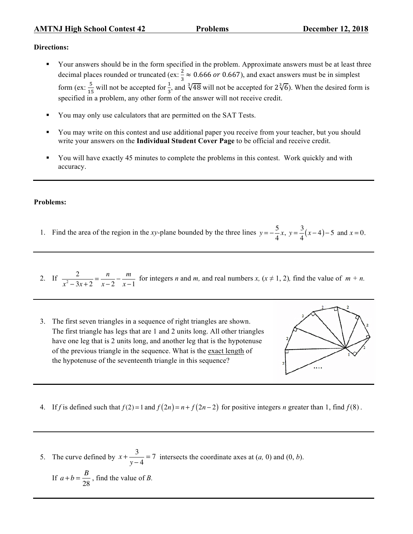## **Directions:**

- § Your answers should be in the form specified in the problem. Approximate answers must be at least three decimal places rounded or truncated (ex:  $\frac{2}{3} \approx 0.666$  or 0.667), and exact answers must be in simplest form (ex:  $\frac{5}{15}$  will not be accepted for  $\frac{1}{3}$ , and  $\sqrt[3]{48}$  will not be accepted for  $2\sqrt[3]{6}$ ). When the desired form is specified in a problem, any other form of the answer will not receive credit.
- You may only use calculators that are permitted on the SAT Tests.
- § You may write on this contest and use additional paper you receive from your teacher, but you should write your answers on the **Individual Student Cover Page** to be official and receive credit.
- § You will have exactly 45 minutes to complete the problems in this contest. Work quickly and with accuracy.

## **Problems:**

1. Find the area of the region in the *xy*-plane bounded by the three lines  $y = -\frac{5}{4}$ 4 *x*,  $y = \frac{3}{4}$  $\frac{6}{4}(x-4)-5$  and  $x=0$ .

2. If  $\frac{2}{x^2 - 3x + 2} = \frac{n}{x - 2}$  $-\frac{m}{x-1}$  for integers *n* and *m*, and real numbers *x*, ( $x \ne 1, 2$ ), find the value of  $m + n$ .

3. The first seven triangles in a sequence of right triangles are shown. The first triangle has legs that are 1 and 2 units long. All other triangles have one leg that is 2 units long, and another leg that is the hypotenuse of the previous triangle in the sequence. What is the exact length of the hypotenuse of the seventeenth triangle in this sequence?



- 4. If *f* is defined such that  $f(2) = 1$  and  $f(2n) = n + f(2n 2)$  for positive integers *n* greater than 1, find  $f(8)$ .
- 5. The curve defined by  $x + \frac{3}{y-4} = 7$  intersects the coordinate axes at  $(a, 0)$  and  $(0, b)$ . If  $a + b = \frac{B}{28}$ , find the value of *B*.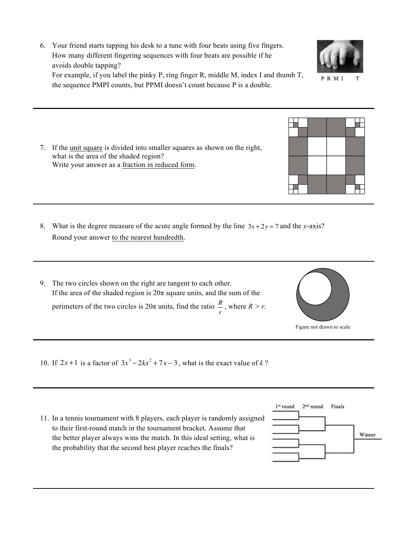How many different fingering sequences with four beats are possible if he avoids double tapping? For example, if you label the pinky P, ring finger R, middle M, index I and thumb T, the sequence PMPI counts, but PPMI doesn't count because P is a double.

6. Your friend starts tapping his desk to a tune with four beats using five fingers.

- 7. If the unit square is divided into smaller squares as shown on the right, what is the area of the shaded region? Write your answer as a fraction in reduced form.
- 8. What is the degree measure of the acute angle formed by the line  $3x + 2y = 7$  and the *y*-axis? Round your answer to the nearest hundredth.
- 9. The two circles shown on the right are tangent to each other. If the area of the shaded region is  $20\pi$  square units, and the sum of the perimeters of the two circles is  $20\pi$  units, find the ratio  $\frac{R}{\pi}$ *r* , where  $R > r$ .
- 10. If  $2x+1$  is a factor of  $3x^3 2kx^2 + 7x 3$ , what is the exact value of *k*?
- 11. In a tennis tournament with 8 players, each player is randomly assigned to their first-round match in the tournament bracket. Assume that the better player always wins the match. In this ideal setting, what is the probability that the second best player reaches the finals?





Figure not drawn to scale